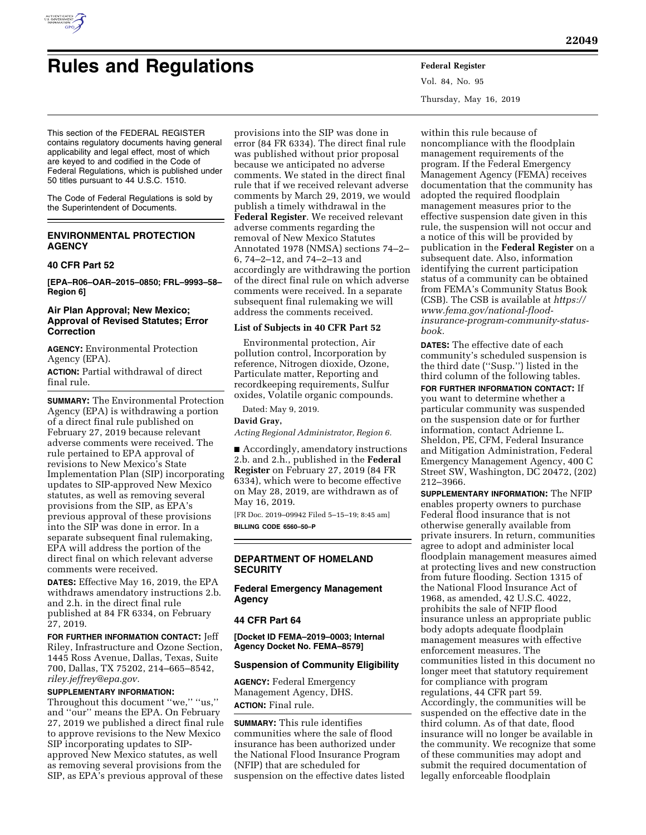

# **Rules and Regulations Federal Register**

Vol. 84, No. 95 Thursday, May 16, 2019

This section of the FEDERAL REGISTER contains regulatory documents having general applicability and legal effect, most of which are keyed to and codified in the Code of Federal Regulations, which is published under 50 titles pursuant to 44 U.S.C. 1510.

The Code of Federal Regulations is sold by the Superintendent of Documents.

# **ENVIRONMENTAL PROTECTION AGENCY**

## **40 CFR Part 52**

**[EPA–R06–OAR–2015–0850; FRL–9993–58– Region 6]** 

## **Air Plan Approval; New Mexico; Approval of Revised Statutes; Error Correction**

**AGENCY:** Environmental Protection Agency (EPA).

**ACTION:** Partial withdrawal of direct final rule.

**SUMMARY:** The Environmental Protection Agency (EPA) is withdrawing a portion of a direct final rule published on February 27, 2019 because relevant adverse comments were received. The rule pertained to EPA approval of revisions to New Mexico's State Implementation Plan (SIP) incorporating updates to SIP-approved New Mexico statutes, as well as removing several provisions from the SIP, as EPA's previous approval of these provisions into the SIP was done in error. In a separate subsequent final rulemaking, EPA will address the portion of the direct final on which relevant adverse comments were received.

**DATES:** Effective May 16, 2019, the EPA withdraws amendatory instructions 2.b. and 2.h. in the direct final rule published at 84 FR 6334, on February 27, 2019.

**FOR FURTHER INFORMATION CONTACT:** Jeff Riley, Infrastructure and Ozone Section, 1445 Ross Avenue, Dallas, Texas, Suite 700, Dallas, TX 75202, 214–665–8542, *[riley.jeffrey@epa.gov.](mailto:riley.jeffrey@epa.gov)* 

#### **SUPPLEMENTARY INFORMATION:**

Throughout this document ''we,'' ''us,'' and ''our'' means the EPA. On February 27, 2019 we published a direct final rule to approve revisions to the New Mexico SIP incorporating updates to SIPapproved New Mexico statutes, as well as removing several provisions from the SIP, as EPA's previous approval of these

provisions into the SIP was done in error (84 FR 6334). The direct final rule was published without prior proposal because we anticipated no adverse comments. We stated in the direct final rule that if we received relevant adverse comments by March 29, 2019, we would publish a timely withdrawal in the **Federal Register**. We received relevant adverse comments regarding the removal of New Mexico Statutes Annotated 1978 (NMSA) sections 74–2– 6, 74–2–12, and 74–2–13 and accordingly are withdrawing the portion of the direct final rule on which adverse comments were received. In a separate subsequent final rulemaking we will address the comments received.

#### **List of Subjects in 40 CFR Part 52**

Environmental protection, Air pollution control, Incorporation by reference, Nitrogen dioxide, Ozone, Particulate matter, Reporting and recordkeeping requirements, Sulfur oxides, Volatile organic compounds.

Dated: May 9, 2019.

#### **David Gray,**

*Acting Regional Administrator, Region 6.* 

■ Accordingly, amendatory instructions 2.b. and 2.h., published in the **Federal Register** on February 27, 2019 (84 FR 6334), which were to become effective on May 28, 2019, are withdrawn as of May 16, 2019.

[FR Doc. 2019–09942 Filed 5–15–19; 8:45 am] **BILLING CODE 6560–50–P** 

## **DEPARTMENT OF HOMELAND SECURITY**

**Federal Emergency Management Agency** 

#### **44 CFR Part 64**

**[Docket ID FEMA–2019–0003; Internal Agency Docket No. FEMA–8579]** 

#### **Suspension of Community Eligibility**

**AGENCY:** Federal Emergency Management Agency, DHS. **ACTION:** Final rule.

**SUMMARY:** This rule identifies communities where the sale of flood insurance has been authorized under the National Flood Insurance Program (NFIP) that are scheduled for suspension on the effective dates listed

within this rule because of noncompliance with the floodplain management requirements of the program. If the Federal Emergency Management Agency (FEMA) receives documentation that the community has adopted the required floodplain management measures prior to the effective suspension date given in this rule, the suspension will not occur and a notice of this will be provided by publication in the **Federal Register** on a subsequent date. Also, information identifying the current participation status of a community can be obtained from FEMA's Community Status Book (CSB). The CSB is available at *[https://](https://www.fema.gov/national-flood-insurance-program-community-status-book) [www.fema.gov/national-flood](https://www.fema.gov/national-flood-insurance-program-community-status-book)[insurance-program-community-status](https://www.fema.gov/national-flood-insurance-program-community-status-book)[book.](https://www.fema.gov/national-flood-insurance-program-community-status-book)* 

**DATES:** The effective date of each community's scheduled suspension is the third date (''Susp.'') listed in the third column of the following tables.

**FOR FURTHER INFORMATION CONTACT:** If you want to determine whether a particular community was suspended on the suspension date or for further information, contact Adrienne L. Sheldon, PE, CFM, Federal Insurance and Mitigation Administration, Federal Emergency Management Agency, 400 C Street SW, Washington, DC 20472, (202) 212–3966.

**SUPPLEMENTARY INFORMATION:** The NFIP enables property owners to purchase Federal flood insurance that is not otherwise generally available from private insurers. In return, communities agree to adopt and administer local floodplain management measures aimed at protecting lives and new construction from future flooding. Section 1315 of the National Flood Insurance Act of 1968, as amended, 42 U.S.C. 4022, prohibits the sale of NFIP flood insurance unless an appropriate public body adopts adequate floodplain management measures with effective enforcement measures. The communities listed in this document no longer meet that statutory requirement for compliance with program regulations, 44 CFR part 59. Accordingly, the communities will be suspended on the effective date in the third column. As of that date, flood insurance will no longer be available in the community. We recognize that some of these communities may adopt and submit the required documentation of legally enforceable floodplain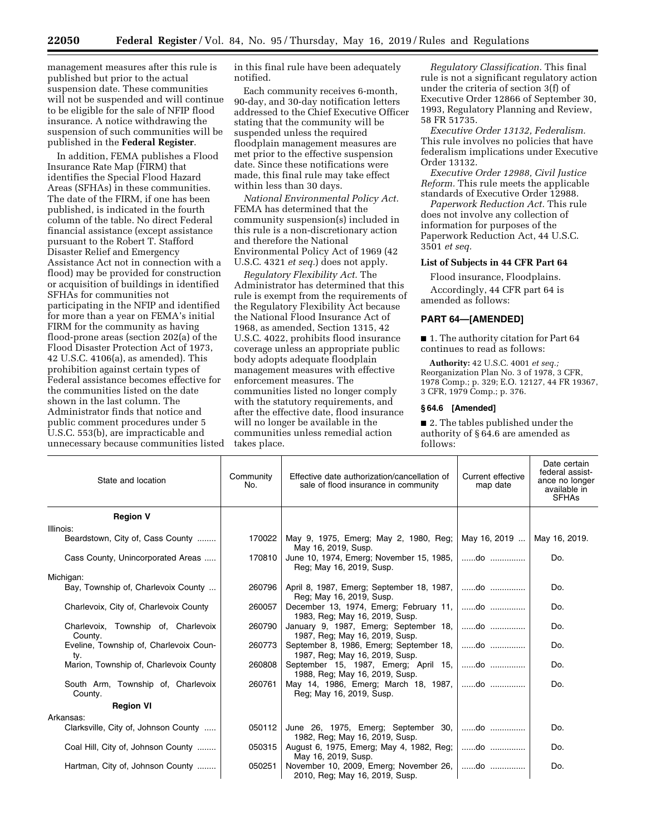management measures after this rule is published but prior to the actual suspension date. These communities will not be suspended and will continue to be eligible for the sale of NFIP flood insurance. A notice withdrawing the suspension of such communities will be published in the **Federal Register**.

In addition, FEMA publishes a Flood Insurance Rate Map (FIRM) that identifies the Special Flood Hazard Areas (SFHAs) in these communities. The date of the FIRM, if one has been published, is indicated in the fourth column of the table. No direct Federal financial assistance (except assistance pursuant to the Robert T. Stafford Disaster Relief and Emergency Assistance Act not in connection with a flood) may be provided for construction or acquisition of buildings in identified SFHAs for communities not participating in the NFIP and identified for more than a year on FEMA's initial FIRM for the community as having flood-prone areas (section 202(a) of the Flood Disaster Protection Act of 1973, 42 U.S.C. 4106(a), as amended). This prohibition against certain types of Federal assistance becomes effective for the communities listed on the date shown in the last column. The Administrator finds that notice and public comment procedures under 5 U.S.C. 553(b), are impracticable and unnecessary because communities listed in this final rule have been adequately notified.

Each community receives 6-month, 90-day, and 30-day notification letters addressed to the Chief Executive Officer stating that the community will be suspended unless the required floodplain management measures are met prior to the effective suspension date. Since these notifications were made, this final rule may take effect within less than 30 days.

*National Environmental Policy Act.*  FEMA has determined that the community suspension(s) included in this rule is a non-discretionary action and therefore the National Environmental Policy Act of 1969 (42 U.S.C. 4321 *et seq.*) does not apply.

*Regulatory Flexibility Act.* The Administrator has determined that this rule is exempt from the requirements of the Regulatory Flexibility Act because the National Flood Insurance Act of 1968, as amended, Section 1315, 42 U.S.C. 4022, prohibits flood insurance coverage unless an appropriate public body adopts adequate floodplain management measures with effective enforcement measures. The communities listed no longer comply with the statutory requirements, and after the effective date, flood insurance will no longer be available in the communities unless remedial action takes place.

*Regulatory Classification.* This final rule is not a significant regulatory action under the criteria of section 3(f) of Executive Order 12866 of September 30, 1993, Regulatory Planning and Review, 58 FR 51735.

*Executive Order 13132, Federalism.*  This rule involves no policies that have federalism implications under Executive Order 13132.

*Executive Order 12988, Civil Justice Reform.* This rule meets the applicable standards of Executive Order 12988.

*Paperwork Reduction Act.* This rule does not involve any collection of information for purposes of the Paperwork Reduction Act, 44 U.S.C. 3501 *et seq.* 

# **List of Subjects in 44 CFR Part 64**

Flood insurance, Floodplains.

Accordingly, 44 CFR part 64 is amended as follows:

#### **PART 64—[AMENDED]**

■ 1. The authority citation for Part 64 continues to read as follows:

**Authority:** 42 U.S.C. 4001 *et seq.;*  Reorganization Plan No. 3 of 1978, 3 CFR, 1978 Comp.; p. 329; E.O. 12127, 44 FR 19367, 3 CFR, 1979 Comp.; p. 376.

#### **§ 64.6 [Amended]**

■ 2. The tables published under the authority of § 64.6 are amended as follows:

| State and location                             | Community<br>No. | Effective date authorization/cancellation of<br>sale of flood insurance in community     | Current effective<br>map date | Date certain<br>federal assist-<br>ance no longer<br>available in<br><b>SFHAs</b> |
|------------------------------------------------|------------------|------------------------------------------------------------------------------------------|-------------------------------|-----------------------------------------------------------------------------------|
| <b>Region V</b>                                |                  |                                                                                          |                               |                                                                                   |
| Illinois:                                      |                  |                                                                                          |                               |                                                                                   |
| Beardstown, City of, Cass County               | 170022           | May 9, 1975, Emerg; May 2, 1980, Reg; May 16, 2019  May 16, 2019.<br>May 16, 2019, Susp. |                               |                                                                                   |
| Cass County, Unincorporated Areas              | 170810           | June 10, 1974, Emerg; November 15, 1985,   do<br>Reg; May 16, 2019, Susp.                |                               | Do.                                                                               |
| Michigan:                                      |                  |                                                                                          |                               |                                                                                   |
| Bay, Township of, Charlevoix County            | 260796           | April 8, 1987, Emerg; September 18, 1987,   do<br>Reg; May 16, 2019, Susp.               |                               | Do.                                                                               |
| Charlevoix, City of, Charlevoix County         | 260057           | December 13, 1974, Emerg; February 11,   do<br>1983, Reg; May 16, 2019, Susp.            |                               | Do.                                                                               |
| Charlevoix, Township of, Charlevoix<br>County. | 260790           | January 9, 1987, Emerg; September 18,   do<br>1987, Reg; May 16, 2019, Susp.             |                               | Do.                                                                               |
| Eveline, Township of, Charlevoix Coun-<br>ty.  | 260773           | September 8, 1986, Emerg; September 18,   do<br>1987, Reg; May 16, 2019, Susp.           |                               | Do.                                                                               |
| Marion, Township of, Charlevoix County         | 260808           | September 15, 1987, Emerg; April 15,   do<br>1988, Reg; May 16, 2019, Susp.              |                               | Do.                                                                               |
| South Arm, Township of, Charlevoix<br>County.  | 260761           | May 14, 1986, Emerg; March 18, 1987,   do<br>Reg; May 16, 2019, Susp.                    |                               | Do.                                                                               |
| <b>Region VI</b>                               |                  |                                                                                          |                               |                                                                                   |
| Arkansas:                                      |                  |                                                                                          |                               |                                                                                   |
| Clarksville, City of, Johnson County           | 050112           | June 26, 1975, Emerg; September 30,   do<br>1982, Reg; May 16, 2019, Susp.               |                               | Do.                                                                               |
| Coal Hill, City of, Johnson County             | 050315           | August 6, 1975, Emerg; May 4, 1982, Reg;   do<br>May 16, 2019, Susp.                     |                               | Do.                                                                               |
| Hartman, City of, Johnson County               | 050251           | November 10, 2009, Emerg; November 26,   do<br>2010, Reg; May 16, 2019, Susp.            |                               | Do.                                                                               |